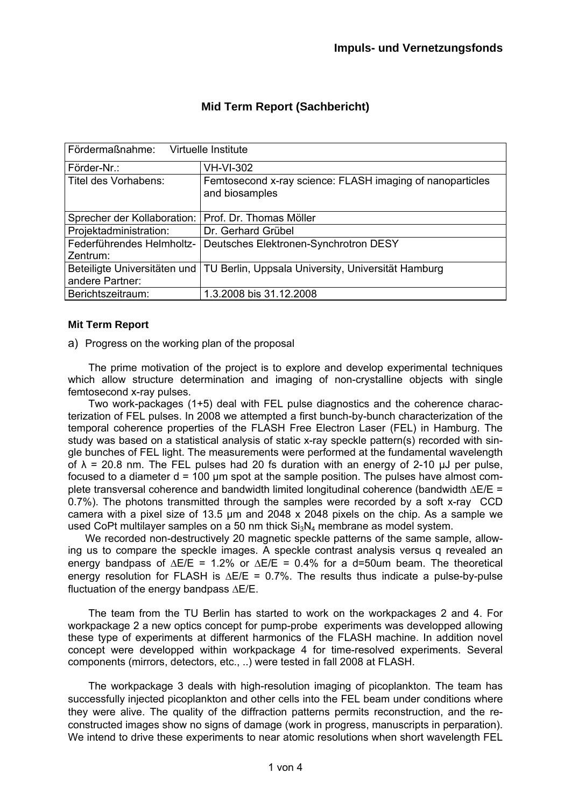| Fördermaßnahme: Virtuelle Institute                   |                                                                                 |
|-------------------------------------------------------|---------------------------------------------------------------------------------|
| Förder-Nr.:                                           | <b>VH-VI-302</b>                                                                |
| Titel des Vorhabens:                                  | Femtosecond x-ray science: FLASH imaging of nanoparticles<br>and biosamples     |
| Sprecher der Kollaboration:   Prof. Dr. Thomas Möller |                                                                                 |
| Projektadministration:                                | Dr. Gerhard Grübel                                                              |
| Federführendes Helmholtz-                             | Deutsches Elektronen-Synchrotron DESY                                           |
| Zentrum:                                              |                                                                                 |
|                                                       | Beteiligte Universitäten und TU Berlin, Uppsala University, Universität Hamburg |
| andere Partner:                                       |                                                                                 |
| Berichtszeitraum:                                     | 1.3.2008 bis 31.12.2008                                                         |

# **Mid Term Report (Sachbericht)**

# **Mit Term Report**

a) Progress on the working plan of the proposal

The prime motivation of the project is to explore and develop experimental techniques which allow structure determination and imaging of non-crystalline objects with single femtosecond x-ray pulses.

Two work-packages (1+5) deal with FEL pulse diagnostics and the coherence characterization of FEL pulses. In 2008 we attempted a first bunch-by-bunch characterization of the temporal coherence properties of the FLASH Free Electron Laser (FEL) in Hamburg. The study was based on a statistical analysis of static x-ray speckle pattern(s) recorded with single bunches of FEL light. The measurements were performed at the fundamental wavelength of  $\lambda$  = 20.8 nm. The FEL pulses had 20 fs duration with an energy of 2-10  $\mu$ J per pulse, focused to a diameter  $d = 100 \mu m$  spot at the sample position. The pulses have almost complete transversal coherence and bandwidth limited longitudinal coherence (bandwidth ΔE/E = 0.7%). The photons transmitted through the samples were recorded by a soft x-ray CCD camera with a pixel size of 13.5 μm and 2048 x 2048 pixels on the chip. As a sample we used CoPt multilayer samples on a 50 nm thick  $Si<sub>3</sub>N<sub>4</sub>$  membrane as model system.

We recorded non-destructively 20 magnetic speckle patterns of the same sample, allowing us to compare the speckle images. A speckle contrast analysis versus q revealed an energy bandpass of  $\Delta E/E = 1.2\%$  or  $\Delta E/E = 0.4\%$  for a d=50um beam. The theoretical energy resolution for FLASH is  $\Delta E/E = 0.7\%$ . The results thus indicate a pulse-by-pulse fluctuation of the energy bandpass ΔE/E.

The team from the TU Berlin has started to work on the workpackages 2 and 4. For workpackage 2 a new optics concept for pump-probe experiments was developped allowing these type of experiments at different harmonics of the FLASH machine. In addition novel concept were developped within workpackage 4 for time-resolved experiments. Several components (mirrors, detectors, etc., ..) were tested in fall 2008 at FLASH.

The workpackage 3 deals with high-resolution imaging of picoplankton. The team has successfully injected picoplankton and other cells into the FEL beam under conditions where they were alive. The quality of the diffraction patterns permits reconstruction, and the reconstructed images show no signs of damage (work in progress, manuscripts in perparation). We intend to drive these experiments to near atomic resolutions when short wavelength FEL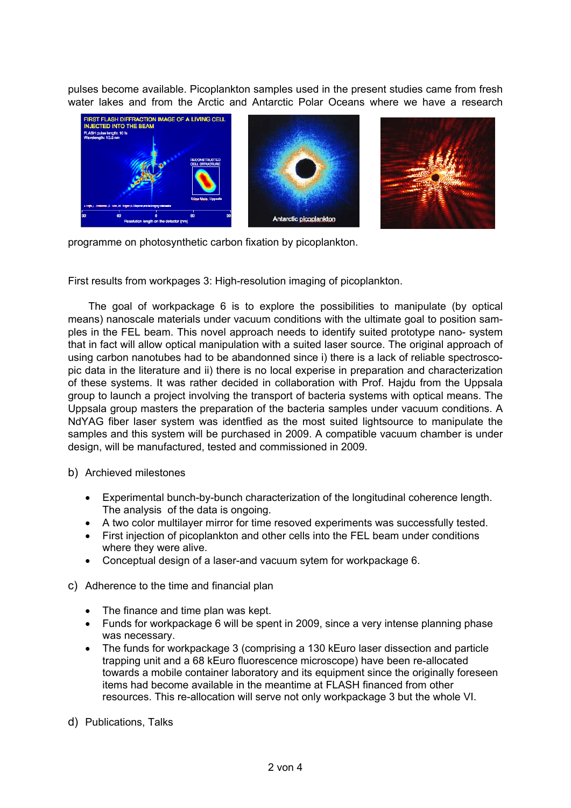pulses become available. Picoplankton samples used in the present studies came from fresh water lakes and from the Arctic and Antarctic Polar Oceans where we have a research



programme on photosynthetic carbon fixation by picoplankton.

First results from workpages 3: High-resolution imaging of picoplankton.

The goal of workpackage 6 is to explore the possibilities to manipulate (by optical means) nanoscale materials under vacuum conditions with the ultimate goal to position samples in the FEL beam. This novel approach needs to identify suited prototype nano- system that in fact will allow optical manipulation with a suited laser source. The original approach of using carbon nanotubes had to be abandonned since i) there is a lack of reliable spectroscopic data in the literature and ii) there is no local experise in preparation and characterization of these systems. It was rather decided in collaboration with Prof. Hajdu from the Uppsala group to launch a project involving the transport of bacteria systems with optical means. The Uppsala group masters the preparation of the bacteria samples under vacuum conditions. A NdYAG fiber laser system was identfied as the most suited lightsource to manipulate the samples and this system will be purchased in 2009. A compatible vacuum chamber is under design, will be manufactured, tested and commissioned in 2009.

b) Archieved milestones

- Experimental bunch-by-bunch characterization of the longitudinal coherence length. The analysis of the data is ongoing.
- A two color multilayer mirror for time resoved experiments was successfully tested.
- First injection of picoplankton and other cells into the FEL beam under conditions where they were alive.
- Conceptual design of a laser-and vacuum sytem for workpackage 6.
- c) Adherence to the time and financial plan
	- The finance and time plan was kept.
	- Funds for workpackage 6 will be spent in 2009, since a very intense planning phase was necessary.
	- The funds for workpackage 3 (comprising a 130 kEuro laser dissection and particle trapping unit and a 68 kEuro fluorescence microscope) have been re-allocated towards a mobile container laboratory and its equipment since the originally foreseen items had become available in the meantime at FLASH financed from other resources. This re-allocation will serve not only workpackage 3 but the whole VI.
- d) Publications, Talks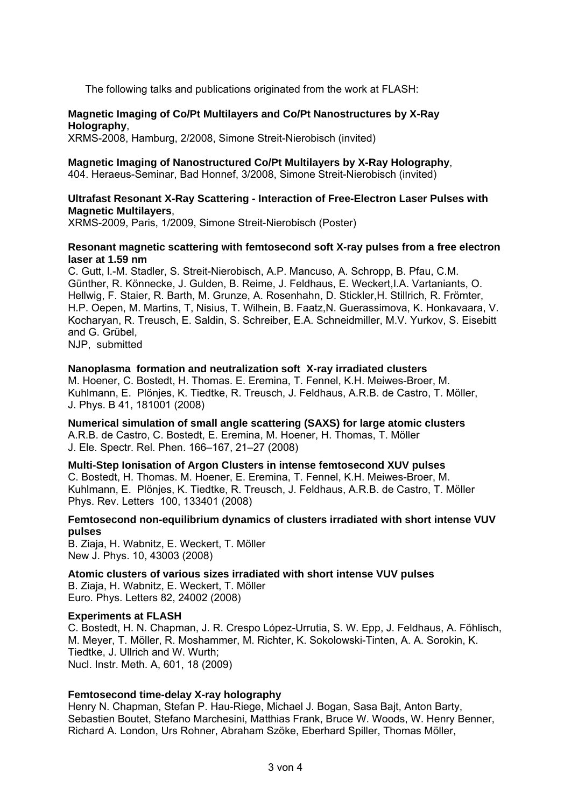The following talks and publications originated from the work at FLASH:

## **Magnetic Imaging of Co/Pt Multilayers and Co/Pt Nanostructures by X-Ray Holography**,

XRMS-2008, Hamburg, 2/2008, Simone Streit-Nierobisch (invited)

## **Magnetic Imaging of Nanostructured Co/Pt Multilayers by X-Ray Holography**,

404. Heraeus-Seminar, Bad Honnef, 3/2008, Simone Streit-Nierobisch (invited)

### **Ultrafast Resonant X-Ray Scattering - Interaction of Free-Electron Laser Pulses with Magnetic Multilayers**,

XRMS-2009, Paris, 1/2009, Simone Streit-Nierobisch (Poster)

## **Resonant magnetic scattering with femtosecond soft X-ray pulses from a free electron laser at 1.59 nm**

C. Gutt, l.-M. Stadler, S. Streit-Nierobisch, A.P. Mancuso, A. Schropp, B. Pfau, C.M. Günther, R. Könnecke, J. Gulden, B. Reime, J. Feldhaus, E. Weckert,I.A. Vartaniants, O. Hellwig, F. Staier, R. Barth, M. Grunze, A. Rosenhahn, D. Stickler,H. Stillrich, R. Frömter, H.P. Oepen, M. Martins, T, Nisius, T. Wilhein, B. Faatz,N. Guerassimova, K. Honkavaara, V. Kocharyan, R. Treusch, E. Saldin, S. Schreiber, E.A. Schneidmiller, M.V. Yurkov, S. Eisebitt and G. Grübel,

NJP, submitted

## **Nanoplasma formation and neutralization soft X-ray irradiated clusters**

M. Hoener, C. Bostedt, H. Thomas. E. Eremina, T. Fennel, K.H. Meiwes-Broer, M. Kuhlmann, E. Plönjes, K. Tiedtke, R. Treusch, J. Feldhaus, A.R.B. de Castro, T. Möller, J. Phys. B 41, 181001 (2008)

**Numerical simulation of small angle scattering (SAXS) for large atomic clusters**  A.R.B. de Castro, C. Bostedt, E. Eremina, M. Hoener, H. Thomas, T. Möller J. Ele. Spectr. Rel. Phen. 166–167, 21–27 (2008)

#### **Multi-Step Ionisation of Argon Clusters in intense femtosecond XUV pulses**

C. Bostedt, H. Thomas. M. Hoener, E. Eremina, T. Fennel, K.H. Meiwes-Broer, M. Kuhlmann, E. Plönjes, K. Tiedtke, R. Treusch, J. Feldhaus, A.R.B. de Castro, T. Möller Phys. Rev. Letters 100, 133401 (2008)

## **Femtosecond non-equilibrium dynamics of clusters irradiated with short intense VUV pulses**

B. Ziaja, H. Wabnitz, E. Weckert, T. Möller New J. Phys. 10, 43003 (2008)

**Atomic clusters of various sizes irradiated with short intense VUV pulses**  B. Ziaja, H. Wabnitz, E. Weckert, T. Möller Euro. Phys. Letters 82, 24002 (2008)

#### **Experiments at FLASH**

C. Bostedt, H. N. Chapman, J. R. Crespo López-Urrutia, S. W. Epp, J. Feldhaus, A. Föhlisch, M. Meyer, T. Möller, R. Moshammer, M. Richter, K. Sokolowski-Tinten, A. A. Sorokin, K. Tiedtke, J. Ullrich and W. Wurth; Nucl. Instr. Meth. A, 601, 18 (2009)

# **Femtosecond time-delay X-ray holography**

Henry N. Chapman, Stefan P. Hau-Riege, Michael J. Bogan, Sasa Bajt, Anton Barty, Sebastien Boutet, Stefano Marchesini, Matthias Frank, Bruce W. Woods, W. Henry Benner, Richard A. London, Urs Rohner, Abraham Szöke, Eberhard Spiller, Thomas Möller,